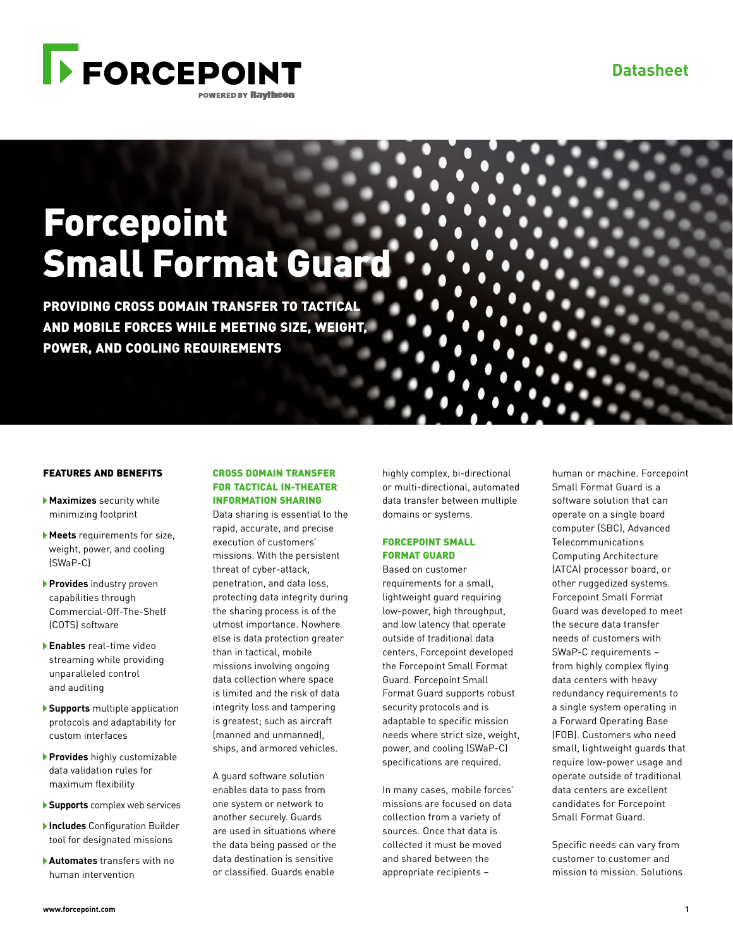

# Forcepoint Small Format Guard

PROVIDING CROSS DOMAIN TRANSFER TO TACTICAL AND MOBILE FORCES WHILE MEETING SIZE, WEIGHT, POWER, AND COOLING REQUIREMENTS

#### FEATURES AND BENEFITS

- **Maximizes** security while minimizing footprint
- **Meets** requirements for size, weight, power, and cooling (SWaP-C)
- **Provides** industry proven capabilities through Commercial-Off-The-Shelf (COTS) software
- **Enables** real-time video streaming while providing unparalleled control and auditing
- **Supports** multiple application protocols and adaptability for custom interfaces
- **Provides** highly customizable data validation rules for maximum flexibility
- **Supports** complex web services
- **Includes** Configuration Builder tool for designated missions
- **Automates** transfers with no human intervention

# CROSS DOMAIN TRANSFER FOR TACTICAL IN-THEATER INFORMATION SHARING

Data sharing is essential to the rapid, accurate, and precise execution of customers' missions. With the persistent threat of cyber-attack, penetration, and data loss, protecting data integrity during the sharing process is of the utmost importance. Nowhere else is data protection greater than in tactical, mobile missions involving ongoing data collection where space is limited and the risk of data integrity loss and tampering is greatest; such as aircraft (manned and unmanned), ships, and armored vehicles.

A guard software solution enables data to pass from one system or network to another securely. Guards are used in situations where the data being passed or the data destination is sensitive or classified. Guards enable

highly complex, bi-directional or multi-directional, automated data transfer between multiple domains or systems.

# FORCEPOINT SMALL FORMAT GUARD

Based on customer requirements for a small, lightweight guard requiring low-power, high throughput, and low latency that operate outside of traditional data centers, Forcepoint developed the Forcepoint Small Format Guard. Forcepoint Small Format Guard supports robust security protocols and is adaptable to specific mission needs where strict size, weight, power, and cooling (SWaP-C) specifications are required.

In many cases, mobile forces' missions are focused on data collection from a variety of sources. Once that data is collected it must be moved and shared between the appropriate recipients –

human or machine. Forcepoint Small Format Guard is a software solution that can operate on a single board computer (SBC), Advanced Telecommunications Computing Architecture (ATCA) processor board, or other ruggedized systems. Forcepoint Small Format Guard was developed to meet the secure data transfer needs of customers with SWaP-C requirements – from highly complex flying data centers with heavy redundancy requirements to a single system operating in a Forward Operating Base (FOB). Customers who need small, lightweight guards that require low-power usage and operate outside of traditional data centers are excellent candidates for Forcepoint Small Format Guard.

Specific needs can vary from customer to customer and mission to mission. Solutions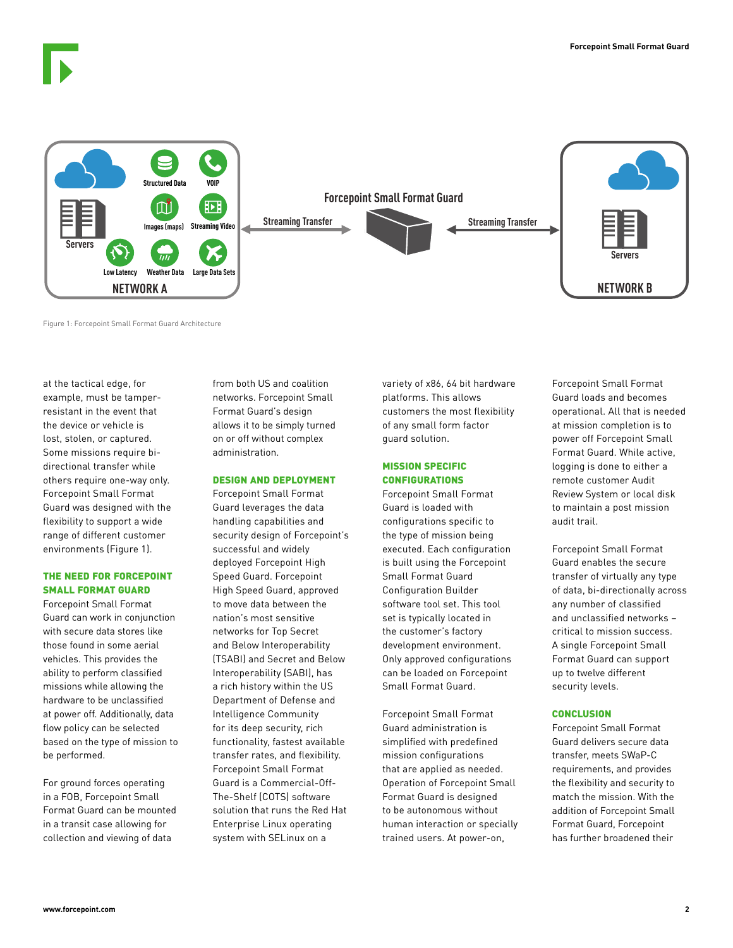

Figure 1: Forcepoint Small Format Guard Architecture

at the tactical edge, for example, must be tamperresistant in the event that the device or vehicle is lost, stolen, or captured. Some missions require bidirectional transfer while others require one-way only. Forcepoint Small Format Guard was designed with the flexibility to support a wide range of different customer environments (Figure 1).

### THE NEED FOR FORCEPOINT SMALL FORMAT GUARD

Forcepoint Small Format Guard can work in conjunction with secure data stores like those found in some aerial vehicles. This provides the ability to perform classified missions while allowing the hardware to be unclassified at power off. Additionally, data flow policy can be selected based on the type of mission to be performed.

For ground forces operating in a FOB, Forcepoint Small Format Guard can be mounted in a transit case allowing for collection and viewing of data

from both US and coalition networks. Forcepoint Small Format Guard's design allows it to be simply turned on or off without complex administration.

### DESIGN AND DEPLOYMENT

Forcepoint Small Format Guard leverages the data handling capabilities and security design of Forcepoint's successful and widely deployed Forcepoint High Speed Guard. Forcepoint High Speed Guard, approved to move data between the nation's most sensitive networks for Top Secret and Below Interoperability (TSABI) and Secret and Below Interoperability (SABI), has a rich history within the US Department of Defense and Intelligence Community for its deep security, rich functionality, fastest available transfer rates, and flexibility. Forcepoint Small Format Guard is a Commercial-Off-The-Shelf (COTS) software solution that runs the Red Hat Enterprise Linux operating system with SELinux on a

variety of x86, 64 bit hardware platforms. This allows customers the most flexibility of any small form factor guard solution.

# MISSION SPECIFIC CONFIGURATIONS

Forcepoint Small Format Guard is loaded with configurations specific to the type of mission being executed. Each configuration is built using the Forcepoint Small Format Guard Configuration Builder software tool set. This tool set is typically located in the customer's factory development environment. Only approved configurations can be loaded on Forcepoint Small Format Guard.

Forcepoint Small Format Guard administration is simplified with predefined mission configurations that are applied as needed. Operation of Forcepoint Small Format Guard is designed to be autonomous without human interaction or specially trained users. At power-on,

Forcepoint Small Format Guard loads and becomes operational. All that is needed at mission completion is to power off Forcepoint Small Format Guard. While active, logging is done to either a remote customer Audit Review System or local disk to maintain a post mission audit trail.

Forcepoint Small Format Guard enables the secure transfer of virtually any type of data, bi-directionally across any number of classified and unclassified networks – critical to mission success. A single Forcepoint Small Format Guard can support up to twelve different security levels.

#### **CONCLUSION**

Forcepoint Small Format Guard delivers secure data transfer, meets SWaP-C requirements, and provides the flexibility and security to match the mission. With the addition of Forcepoint Small Format Guard, Forcepoint has further broadened their